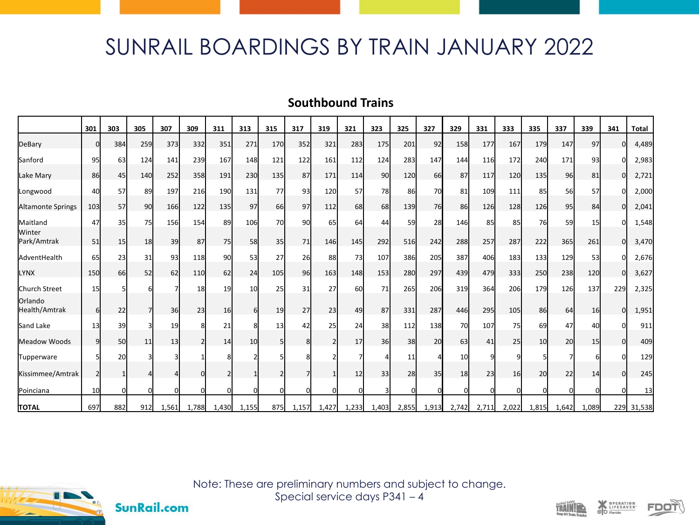## SUNRAIL BOARDINGS BY TRAIN JANUARY 2022

## **Southbound Trains**

|                          | 301 | 303 | 305       | 307      | 309   | 311   | 313   | 315 | 317   | 319            | 321      | 323   | 325             | 327       | 329             | 331      | 333      | 335   | 337   | 339   | 341 | <b>Total</b> |
|--------------------------|-----|-----|-----------|----------|-------|-------|-------|-----|-------|----------------|----------|-------|-----------------|-----------|-----------------|----------|----------|-------|-------|-------|-----|--------------|
| DeBary                   | ŋ   | 384 | 259       | 373      | 332   | 351   | 271   | 170 | 352   | 321            | 283      | 175   | 201             | 92        | 158             | 177      | 167      | 179   | 147   | 97    | n   | 4,489        |
| Sanford                  | 95  | 63  | 124       | 141      | 239   | 167   | 148   | 121 | 122   | 161            | 112      | 124   | 283             | 147       | 144             | 116      | 172      | 240   | 171   | 93    |     | 2,983        |
| Lake Mary                | 86  | 45  | 140       | 252      | 358   | 191   | 230   | 135 | 87    | 171            | 114      | 90    | 120             | 66        | 87              | 117      | 120      | 135   | 96    | 81    | O   | 2,721        |
| Longwood                 | 40  | 57  | 89        | 197      | 216   | 190   | 131   | 77  | 93    | 120            | 57       | 78    | 86              | 70        | 81              | 109      | 111      | 85    | 56    | 57    |     | 2,000        |
| <b>Altamonte Springs</b> | 103 | 57  | 90        | 166      | 122   | 135   | 97    | 66  | 97    | 112            | 68       | 68    | 139             | <b>76</b> | 86              | 126      | 128      | 126   | 95    | 84    | ΩI  | 2,041        |
| Maitland                 | 47  | 35  | <b>75</b> | 156      | 154   | 89    | 106   | 70  | 90    | 65             | 64       | 44    | 59              | 28        | 146             | 85       | 85       | 76    | 59    | 15    |     | 1,548        |
| Winter<br>Park/Amtrak    | 51  | 15  | 18        | 39       | 87    | 75    | 58    | 35  | 71    | 146            | 145      | 292   | 516             | 242       | 288             | 257      | 287      | 222   | 365   | 261   | ΟI  | 3,470        |
| AdventHealth             | 65  | 23  | 31        | 93       | 118   | 90    | 53    | 27  | 26    | 88             | 73       | 107   | 386             | 205       | 387             | 406      | 183      | 133   | 129   | 53    |     | 2,676        |
| <b>LYNX</b>              | 150 | 66  | 52        | 62       | 110   | 62    | 24    | 105 | 96    | 163            | 148      | 153   | 280             | 297       | 439             | 479      | 333      | 250   | 238   | 120   | U   | 3,627        |
| Church Street            | 15  |     |           |          | 18    | 19    | 10    | 25  | 31    | 27             | 60       | 71    | 265             | 206       | 319             | 364      | 206      | 179   | 126   | 137   | 229 | 2,325        |
| Orlando<br>Health/Amtrak | 6   | 22  | 71        | 36       | 23    | 16    | ĥ     | 19  | 27    | 23             | 49       | 87    | 331             | 287       | 446             | 295      | 105      | 86    | 64    | 16    | U   | 1,951        |
| Sand Lake                | 13  | 39  |           | 19       |       | 21    |       | 13  | 42    | 25             | 24       | 38    | 112             | 138       | 70              | 107      | 75       | 69    | 47    | 40    |     | 911          |
| Meadow Woods             | 9   | 50  | 11        | 13       |       | 14    | 10    |     | 8     | $\mathfrak{p}$ | 17       | 36    | 38 <sup>l</sup> | 20        | 63              | 41       | 25       | 10    | 20    | 15    | n   | 409          |
| Tupperware               |     | 20  |           |          |       |       |       |     |       |                |          |       | 11              |           | 10 <sup>1</sup> | q        | $\Omega$ |       |       |       |     | 129          |
| Kissimmee/Amtrak         |     |     |           |          |       |       |       |     |       |                | 12       | 33    | 28              | 35        | 18              | 23       | 16       | 20    | 22    | 14    | n   | 245          |
| Poinciana                | 10  |     | 0l        | $\Omega$ |       |       |       | n   |       | U              | $\Omega$ |       | $\Omega$        |           |                 | $\Omega$ | $\Omega$ |       |       |       | n   | 13           |
| <b>TOTAL</b>             | 697 | 882 | 912I      | 1,561    | 1,788 | 1,430 | 1,155 | 875 | 1,157 | 1,427          | 1,233    | 1,403 | 2,855           | 1,913     | 2,742           | 2,711    | 2,022    | 1,815 | 1,642 | 1,089 |     | 229 31,538   |



**SunRail.com** 

Note: These are preliminary numbers and subject to change. Special service days P341 – 4